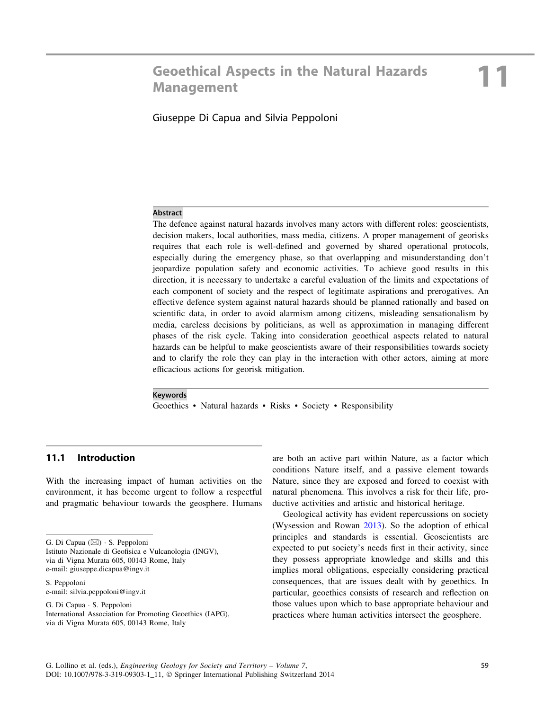# **Geoethical Aspects in the Natural Hazards** Management

Giuseppe Di Capua and Silvia Peppoloni

### Abstract

The defence against natural hazards involves many actors with different roles: geoscientists, decision makers, local authorities, mass media, citizens. A proper management of georisks requires that each role is well-defined and governed by shared operational protocols, especially during the emergency phase, so that overlapping and misunderstanding don't jeopardize population safety and economic activities. To achieve good results in this direction, it is necessary to undertake a careful evaluation of the limits and expectations of each component of society and the respect of legitimate aspirations and prerogatives. An effective defence system against natural hazards should be planned rationally and based on scientific data, in order to avoid alarmism among citizens, misleading sensationalism by media, careless decisions by politicians, as well as approximation in managing different phases of the risk cycle. Taking into consideration geoethical aspects related to natural hazards can be helpful to make geoscientists aware of their responsibilities towards society and to clarify the role they can play in the interaction with other actors, aiming at more efficacious actions for georisk mitigation.

#### Keywords

Geoethics - Natural hazards - Risks - Society - Responsibility

# 11.1 Introduction

With the increasing impact of human activities on the environment, it has become urgent to follow a respectful and pragmatic behaviour towards the geosphere. Humans

S. Peppoloni e-mail: silvia.peppoloni@ingv.it

G. Di Capua - S. Peppoloni International Association for Promoting Geoethics (IAPG), via di Vigna Murata 605, 00143 Rome, Italy

are both an active part within Nature, as a factor which conditions Nature itself, and a passive element towards Nature, since they are exposed and forced to coexist with natural phenomena. This involves a risk for their life, productive activities and artistic and historical heritage.

Geological activity has evident repercussions on society (Wysession and Rowan 2013). So the adoption of ethical principles and standards is essential. Geoscientists are expected to put society's needs first in their activity, since they possess appropriate knowledge and skills and this implies moral obligations, especially considering practical consequences, that are issues dealt with by geoethics. In particular, geoethics consists of research and reflection on those values upon which to base appropriate behaviour and practices where human activities intersect the geosphere.

G. Di Capua (⊠) · S. Peppoloni

Istituto Nazionale di Geofisica e Vulcanologia (INGV), via di Vigna Murata 605, 00143 Rome, Italy e-mail: giuseppe.dicapua@ingv.it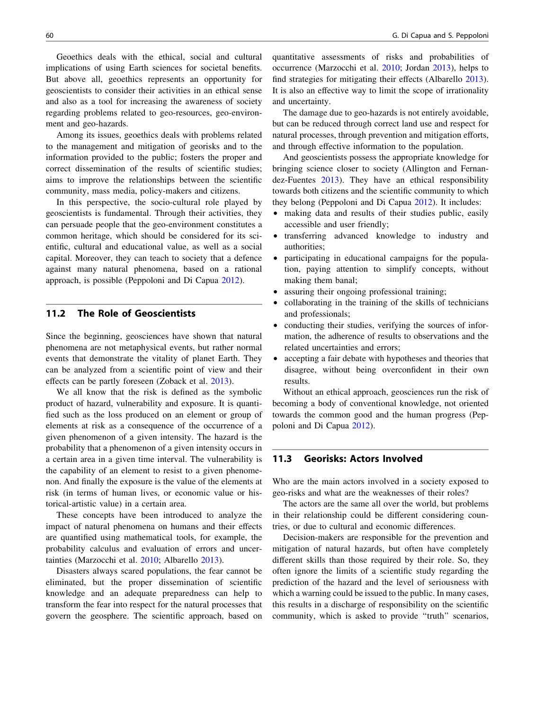Geoethics deals with the ethical, social and cultural implications of using Earth sciences for societal benefits. But above all, geoethics represents an opportunity for geoscientists to consider their activities in an ethical sense and also as a tool for increasing the awareness of society regarding problems related to geo-resources, geo-environment and geo-hazards.

Among its issues, geoethics deals with problems related to the management and mitigation of georisks and to the information provided to the public; fosters the proper and correct dissemination of the results of scientific studies; aims to improve the relationships between the scientific community, mass media, policy-makers and citizens.

In this perspective, the socio-cultural role played by geoscientists is fundamental. Through their activities, they can persuade people that the geo-environment constitutes a common heritage, which should be considered for its scientific, cultural and educational value, as well as a social capital. Moreover, they can teach to society that a defence against many natural phenomena, based on a rational approach, is possible (Peppoloni and Di Capua 2012).

# 11.2 The Role of Geoscientists

Since the beginning, geosciences have shown that natural phenomena are not metaphysical events, but rather normal events that demonstrate the vitality of planet Earth. They can be analyzed from a scientific point of view and their effects can be partly foreseen (Zoback et al. 2013).

We all know that the risk is defined as the symbolic product of hazard, vulnerability and exposure. It is quantified such as the loss produced on an element or group of elements at risk as a consequence of the occurrence of a given phenomenon of a given intensity. The hazard is the probability that a phenomenon of a given intensity occurs in a certain area in a given time interval. The vulnerability is the capability of an element to resist to a given phenomenon. And finally the exposure is the value of the elements at risk (in terms of human lives, or economic value or historical-artistic value) in a certain area.

These concepts have been introduced to analyze the impact of natural phenomena on humans and their effects are quantified using mathematical tools, for example, the probability calculus and evaluation of errors and uncertainties (Marzocchi et al. 2010; Albarello 2013).

Disasters always scared populations, the fear cannot be eliminated, but the proper dissemination of scientific knowledge and an adequate preparedness can help to transform the fear into respect for the natural processes that govern the geosphere. The scientific approach, based on quantitative assessments of risks and probabilities of occurrence (Marzocchi et al. 2010; Jordan 2013), helps to find strategies for mitigating their effects (Albarello 2013). It is also an effective way to limit the scope of irrationality and uncertainty.

The damage due to geo-hazards is not entirely avoidable, but can be reduced through correct land use and respect for natural processes, through prevention and mitigation efforts, and through effective information to the population.

And geoscientists possess the appropriate knowledge for bringing science closer to society (Allington and Fernandez-Fuentes 2013). They have an ethical responsibility towards both citizens and the scientific community to which they belong (Peppoloni and Di Capua 2012). It includes:

- making data and results of their studies public, easily accessible and user friendly;
- transferring advanced knowledge to industry and authorities;
- participating in educational campaigns for the population, paying attention to simplify concepts, without making them banal;
- assuring their ongoing professional training;
- collaborating in the training of the skills of technicians and professionals;
- conducting their studies, verifying the sources of information, the adherence of results to observations and the related uncertainties and errors;
- accepting a fair debate with hypotheses and theories that disagree, without being overconfident in their own results.

Without an ethical approach, geosciences run the risk of becoming a body of conventional knowledge, not oriented towards the common good and the human progress (Peppoloni and Di Capua 2012).

## 11.3 Georisks: Actors Involved

Who are the main actors involved in a society exposed to geo-risks and what are the weaknesses of their roles?

The actors are the same all over the world, but problems in their relationship could be different considering countries, or due to cultural and economic differences.

Decision-makers are responsible for the prevention and mitigation of natural hazards, but often have completely different skills than those required by their role. So, they often ignore the limits of a scientific study regarding the prediction of the hazard and the level of seriousness with which a warning could be issued to the public. In many cases, this results in a discharge of responsibility on the scientific community, which is asked to provide ''truth'' scenarios,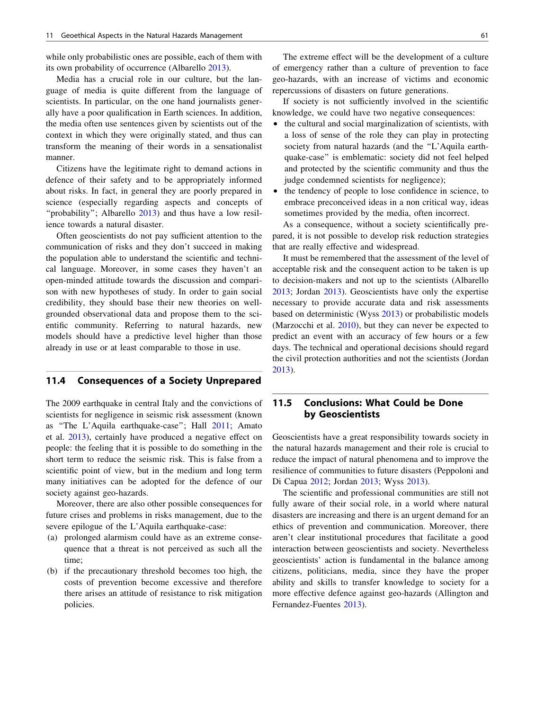while only probabilistic ones are possible, each of them with its own probability of occurrence (Albarello 2013).

Media has a crucial role in our culture, but the language of media is quite different from the language of scientists. In particular, on the one hand journalists generally have a poor qualification in Earth sciences. In addition, the media often use sentences given by scientists out of the context in which they were originally stated, and thus can transform the meaning of their words in a sensationalist manner.

Citizens have the legitimate right to demand actions in defence of their safety and to be appropriately informed about risks. In fact, in general they are poorly prepared in science (especially regarding aspects and concepts of "probability"; Albarello 2013) and thus have a low resilience towards a natural disaster.

Often geoscientists do not pay sufficient attention to the communication of risks and they don't succeed in making the population able to understand the scientific and technical language. Moreover, in some cases they haven't an open-minded attitude towards the discussion and comparison with new hypotheses of study. In order to gain social credibility, they should base their new theories on wellgrounded observational data and propose them to the scientific community. Referring to natural hazards, new models should have a predictive level higher than those already in use or at least comparable to those in use.

### 11.4 Consequences of a Society Unprepared

The 2009 earthquake in central Italy and the convictions of scientists for negligence in seismic risk assessment (known as ''The L'Aquila earthquake-case''; Hall 2011; Amato et al. 2013), certainly have produced a negative effect on people: the feeling that it is possible to do something in the short term to reduce the seismic risk. This is false from a scientific point of view, but in the medium and long term many initiatives can be adopted for the defence of our society against geo-hazards.

Moreover, there are also other possible consequences for future crises and problems in risks management, due to the severe epilogue of the L'Aquila earthquake-case:

- (a) prolonged alarmism could have as an extreme consequence that a threat is not perceived as such all the time;
- (b) if the precautionary threshold becomes too high, the costs of prevention become excessive and therefore there arises an attitude of resistance to risk mitigation policies.

The extreme effect will be the development of a culture of emergency rather than a culture of prevention to face geo-hazards, with an increase of victims and economic repercussions of disasters on future generations.

If society is not sufficiently involved in the scientific knowledge, we could have two negative consequences:

- the cultural and social marginalization of scientists, with a loss of sense of the role they can play in protecting society from natural hazards (and the "L'Aquila earthquake-case'' is emblematic: society did not feel helped and protected by the scientific community and thus the judge condemned scientists for negligence);
- the tendency of people to lose confidence in science, to embrace preconceived ideas in a non critical way, ideas sometimes provided by the media, often incorrect.

As a consequence, without a society scientifically prepared, it is not possible to develop risk reduction strategies that are really effective and widespread.

It must be remembered that the assessment of the level of acceptable risk and the consequent action to be taken is up to decision-makers and not up to the scientists (Albarello 2013; Jordan 2013). Geoscientists have only the expertise necessary to provide accurate data and risk assessments based on deterministic (Wyss 2013) or probabilistic models (Marzocchi et al. 2010), but they can never be expected to predict an event with an accuracy of few hours or a few days. The technical and operational decisions should regard the civil protection authorities and not the scientists (Jordan 2013).

# 11.5 Conclusions: What Could be Done by Geoscientists

Geoscientists have a great responsibility towards society in the natural hazards management and their role is crucial to reduce the impact of natural phenomena and to improve the resilience of communities to future disasters (Peppoloni and Di Capua 2012; Jordan 2013; Wyss 2013).

The scientific and professional communities are still not fully aware of their social role, in a world where natural disasters are increasing and there is an urgent demand for an ethics of prevention and communication. Moreover, there aren't clear institutional procedures that facilitate a good interaction between geoscientists and society. Nevertheless geoscientists' action is fundamental in the balance among citizens, politicians, media, since they have the proper ability and skills to transfer knowledge to society for a more effective defence against geo-hazards (Allington and Fernandez-Fuentes 2013).